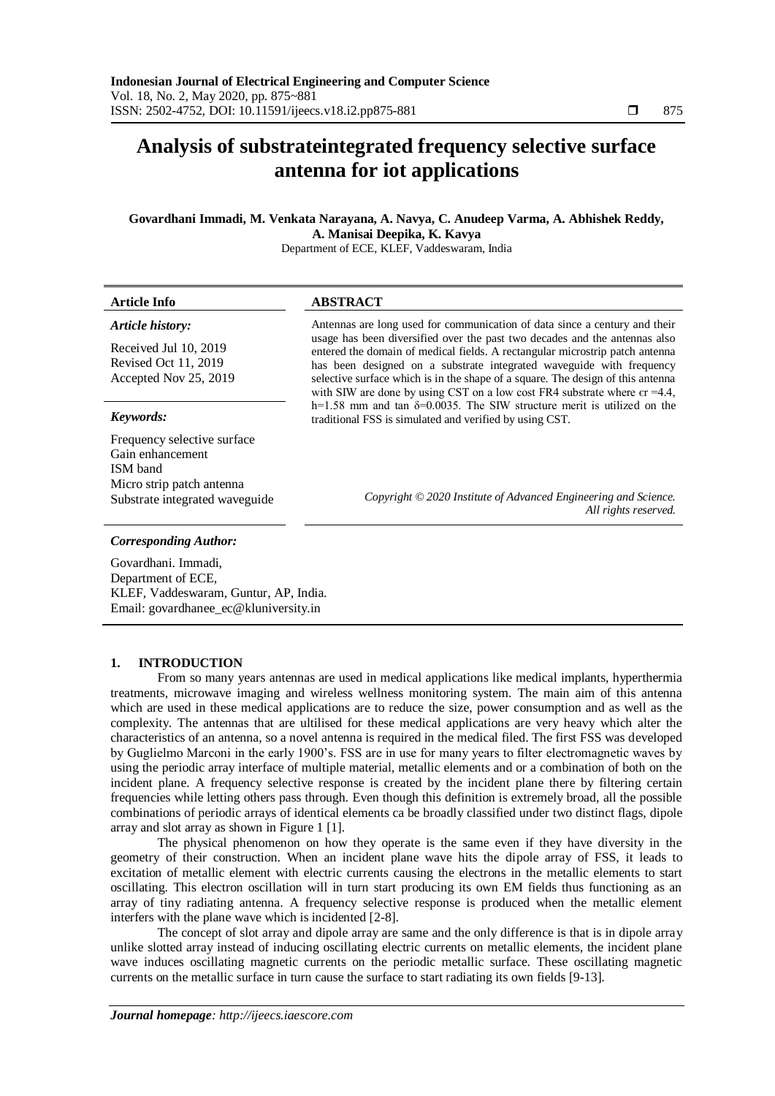# **Analysis of substrateintegrated frequency selective surface antenna for iot applications**

## **Govardhani Immadi, M. Venkata Narayana, A. Navya, C. Anudeep Varma, A. Abhishek Reddy, A. Manisai Deepika, K. Kavya**

Department of ECE, KLEF, Vaddeswaram, India

| <b>Article Info</b>                                                    | ABSTRACT                                                                                                                                                                                                                                                                                                                                                                                                                                                                             |  |  |  |
|------------------------------------------------------------------------|--------------------------------------------------------------------------------------------------------------------------------------------------------------------------------------------------------------------------------------------------------------------------------------------------------------------------------------------------------------------------------------------------------------------------------------------------------------------------------------|--|--|--|
| Article history:                                                       | Antennas are long used for communication of data since a century and their<br>usage has been diversified over the past two decades and the antennas also<br>entered the domain of medical fields. A rectangular microstrip patch antenna<br>has been designed on a substrate integrated waveguide with frequency<br>selective surface which is in the shape of a square. The design of this antenna<br>with SIW are done by using CST on a low cost FR4 substrate where $er = 4.4$ , |  |  |  |
| Received Jul 10, 2019<br>Revised Oct 11, 2019<br>Accepted Nov 25, 2019 |                                                                                                                                                                                                                                                                                                                                                                                                                                                                                      |  |  |  |
| Keywords:                                                              | h=1.58 mm and tan $\delta$ =0.0035. The SIW structure merit is utilized on the<br>traditional FSS is simulated and verified by using CST.                                                                                                                                                                                                                                                                                                                                            |  |  |  |
| Frequency selective surface<br>Gain enhancement<br>ISM band            |                                                                                                                                                                                                                                                                                                                                                                                                                                                                                      |  |  |  |
| Micro strip patch antenna<br>Substrate integrated waveguide            | Copyright © 2020 Institute of Advanced Engineering and Science.<br>All rights reserved.                                                                                                                                                                                                                                                                                                                                                                                              |  |  |  |
| <b>Corresponding Author:</b>                                           |                                                                                                                                                                                                                                                                                                                                                                                                                                                                                      |  |  |  |

Govardhani. Immadi, Department of ECE, KLEF, Vaddeswaram, Guntur, AP, India. Email: [govardhanee\\_ec@kluniversity.in](mailto:govardhanee_ec@kluniversity.in)

#### **1. INTRODUCTION**

From so many years antennas are used in medical applications like medical implants, hyperthermia treatments, microwave imaging and wireless wellness monitoring system. The main aim of this antenna which are used in these medical applications are to reduce the size, power consumption and as well as the complexity. The antennas that are ultilised for these medical applications are very heavy which alter the characteristics of an antenna, so a novel antenna is required in the medical filed. The first FSS was developed by Guglielmo Marconi in the early 1900's. FSS are in use for many years to filter electromagnetic waves by using the periodic array interface of multiple material, metallic elements and or a combination of both on the incident plane. A frequency selective response is created by the incident plane there by filtering certain frequencies while letting others pass through. Even though this definition is extremely broad, all the possible combinations of periodic arrays of identical elements ca be broadly classified under two distinct flags, dipole array and slot array as shown in Figure 1 [1].

The physical phenomenon on how they operate is the same even if they have diversity in the geometry of their construction. When an incident plane wave hits the dipole array of FSS, it leads to excitation of metallic element with electric currents causing the electrons in the metallic elements to start oscillating. This electron oscillation will in turn start producing its own EM fields thus functioning as an array of tiny radiating antenna. A frequency selective response is produced when the metallic element interfers with the plane wave which is incidented [2-8].

The concept of slot array and dipole array are same and the only difference is that is in dipole array unlike slotted array instead of inducing oscillating electric currents on metallic elements, the incident plane wave induces oscillating magnetic currents on the periodic metallic surface. These oscillating magnetic currents on the metallic surface in turn cause the surface to start radiating its own fields [9-13].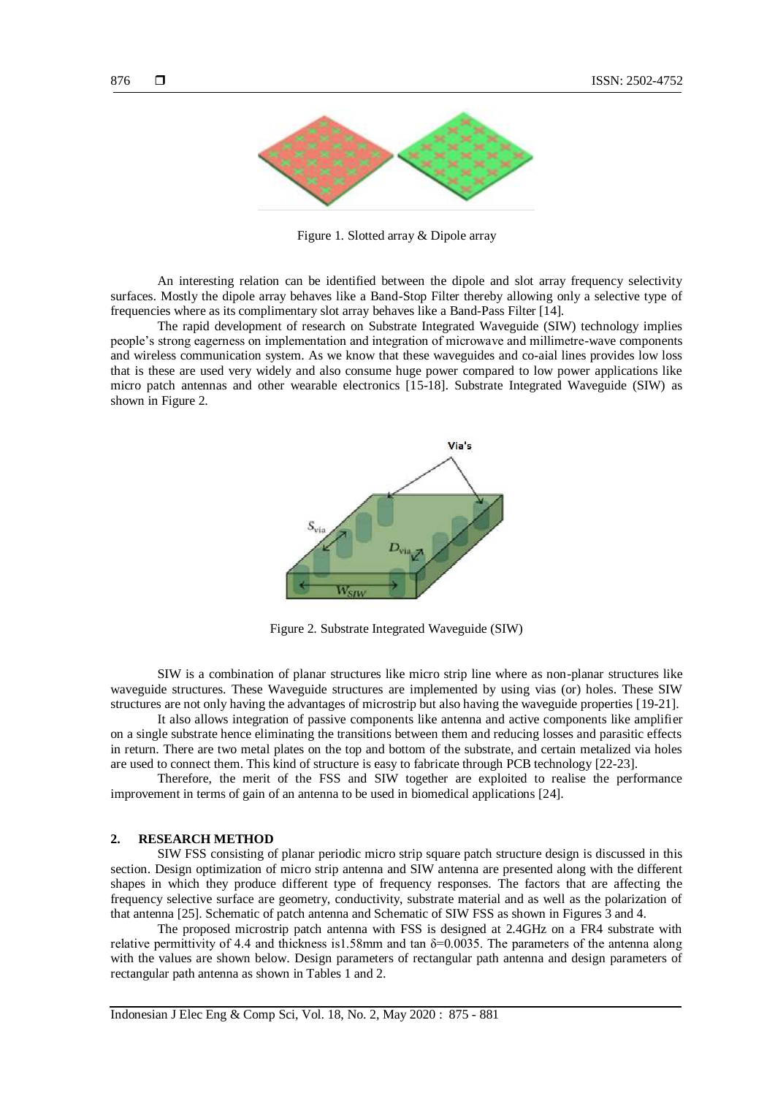

Figure 1. Slotted array & Dipole array

An interesting relation can be identified between the dipole and slot array frequency selectivity surfaces. Mostly the dipole array behaves like a Band-Stop Filter thereby allowing only a selective type of frequencies where as its complimentary slot array behaves like a Band-Pass Filter [14].

The rapid development of research on Substrate Integrated Waveguide (SIW) technology implies people's strong eagerness on implementation and integration of microwave and millimetre-wave components and wireless communication system. As we know that these waveguides and co-aial lines provides low loss that is these are used very widely and also consume huge power compared to low power applications like micro patch antennas and other wearable electronics [15-18]. Substrate Integrated Waveguide (SIW) as shown in Figure 2.



Figure 2. Substrate Integrated Waveguide (SIW)

SIW is a combination of planar structures like micro strip line where as non-planar structures like waveguide structures. These Waveguide structures are implemented by using vias (or) holes. These SIW structures are not only having the advantages of microstrip but also having the waveguide properties [19-21].

It also allows integration of passive components like antenna and active components like amplifier on a single substrate hence eliminating the transitions between them and reducing losses and parasitic effects in return. There are two metal plates on the top and bottom of the substrate, and certain metalized via holes are used to connect them. This kind of structure is easy to fabricate through PCB technology [22-23].

Therefore, the merit of the FSS and SIW together are exploited to realise the performance improvement in terms of gain of an antenna to be used in biomedical applications [24].

#### **2. RESEARCH METHOD**

SIW FSS consisting of planar periodic micro strip square patch structure design is discussed in this section. Design optimization of micro strip antenna and SIW antenna are presented along with the different shapes in which they produce different type of frequency responses. The factors that are affecting the frequency selective surface are geometry, conductivity, substrate material and as well as the polarization of that antenna [25]. Schematic of patch antenna and Schematic of SIW FSS as shown in Figures 3 and 4.

The proposed microstrip patch antenna with FSS is designed at 2.4GHz on a FR4 substrate with relative permittivity of 4.4 and thickness is1.58mm and tan  $\delta$ =0.0035. The parameters of the antenna along with the values are shown below. Design parameters of rectangular path antenna and design parameters of rectangular path antenna as shown in Tables 1 and 2.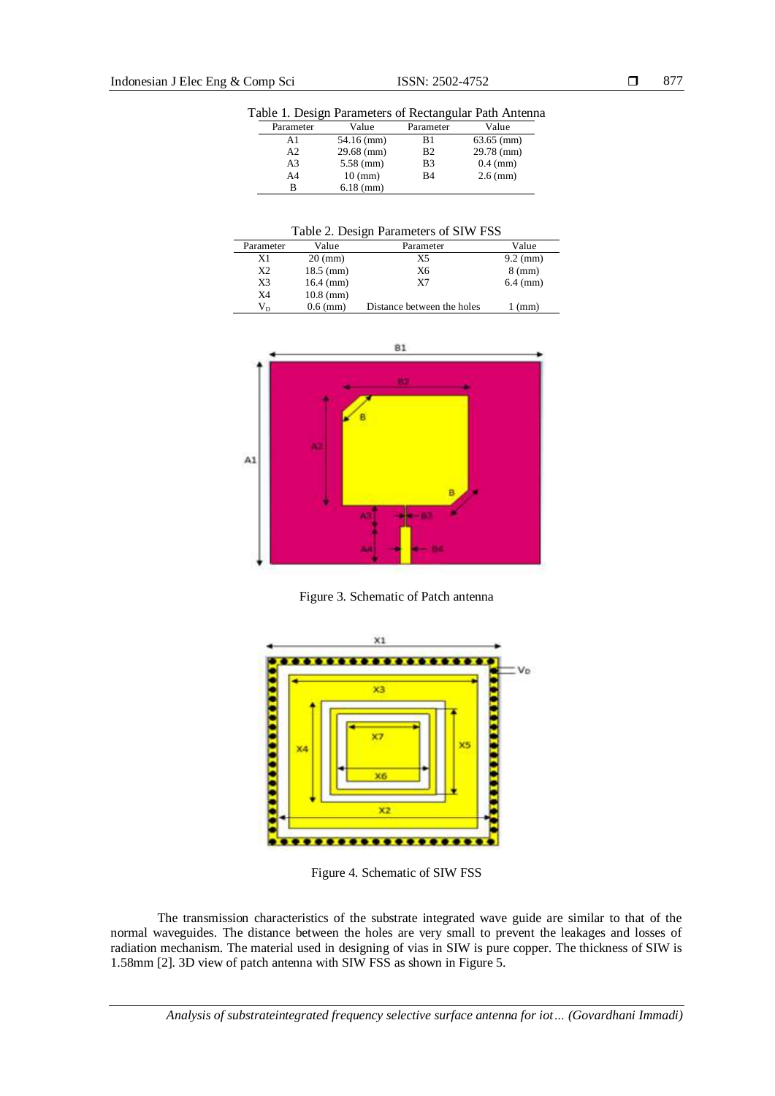Table 1. Design Parameters of Rectangular Path Antenna

| Parameter      | Value             | Parameter      | Value        |
|----------------|-------------------|----------------|--------------|
| A1             | 54.16 (mm)        | B1             | $63.65$ (mm) |
| A2             | $29.68$ (mm)      | B <sub>2</sub> | $29.78$ (mm) |
| A3             | $5.58$ (mm)       | B <sub>3</sub> | $0.4$ (mm)   |
| A <sub>4</sub> | $10 \text{ (mm)}$ | B <sub>4</sub> | $2.6$ (mm)   |
| В              | $6.18$ (mm)       |                |              |

Table 2. Design Parameters of SIW FSS

| Parameter   | Value             | Parameter                  | Value            |
|-------------|-------------------|----------------------------|------------------|
| X1          | $20 \text{ (mm)}$ | X5                         | $9.2$ (mm)       |
| X2          | $18.5$ (mm)       | Х6                         | $8 \text{ (mm)}$ |
| X3          | $16.4$ (mm)       | X7                         | $6.4 \, (mm)$    |
| X4          | $10.8$ (mm)       |                            |                  |
| $V_{\rm D}$ | $0.6$ (mm)        | Distance between the holes | $1$ (mm)         |



Figure 3. Schematic of Patch antenna



Figure 4. Schematic of SIW FSS

The transmission characteristics of the substrate integrated wave guide are similar to that of the normal waveguides. The distance between the holes are very small to prevent the leakages and losses of radiation mechanism. The material used in designing of vias in SIW is pure copper. The thickness of SIW is 1.58mm [2]. 3D view of patch antenna with SIW FSS as shown in Figure 5.

*Analysis of substrateintegrated frequency selective surface antenna for iot… (Govardhani Immadi)*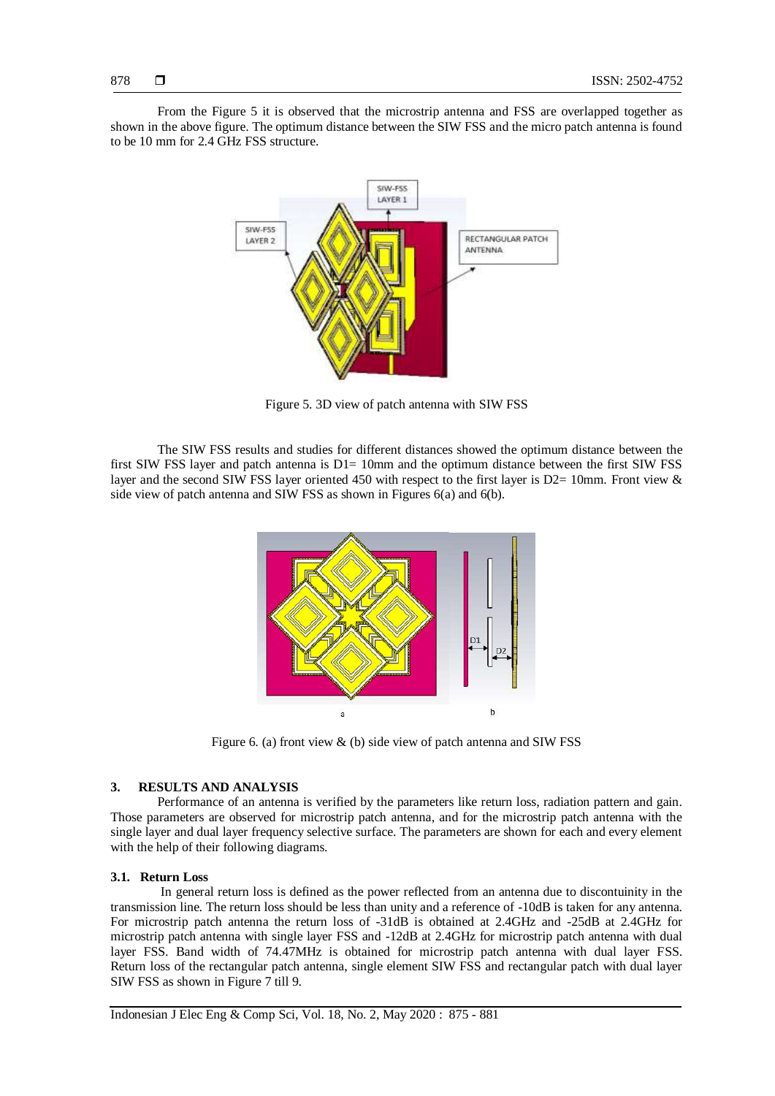From the Figure 5 it is observed that the microstrip antenna and FSS are overlapped together as shown in the above figure. The optimum distance between the SIW FSS and the micro patch antenna is found to be 10 mm for 2.4 GHz FSS structure.



Figure 5. 3D view of patch antenna with SIW FSS

The SIW FSS results and studies for different distances showed the optimum distance between the first SIW FSS layer and patch antenna is  $D1= 10$ mm and the optimum distance between the first SIW FSS layer and the second SIW FSS layer oriented 450 with respect to the first layer is D2= 10mm. Front view & side view of patch antenna and SIW FSS as shown in Figures 6(a) and 6(b).



Figure 6. (a) front view & (b) side view of patch antenna and SIW FSS

#### **3. RESULTS AND ANALYSIS**

Performance of an antenna is verified by the parameters like return loss, radiation pattern and gain. Those parameters are observed for microstrip patch antenna, and for the microstrip patch antenna with the single layer and dual layer frequency selective surface. The parameters are shown for each and every element with the help of their following diagrams.

#### **3.1. Return Loss**

In general return loss is defined as the power reflected from an antenna due to discontuinity in the transmission line. The return loss should be less than unity and a reference of -10dB is taken for any antenna. For microstrip patch antenna the return loss of -31dB is obtained at 2.4GHz and -25dB at 2.4GHz for microstrip patch antenna with single layer FSS and -12dB at 2.4GHz for microstrip patch antenna with dual layer FSS. Band width of 74.47MHz is obtained for microstrip patch antenna with dual layer FSS. Return loss of the rectangular patch antenna, single element SIW FSS and rectangular patch with dual layer SIW FSS as shown in Figure 7 till 9.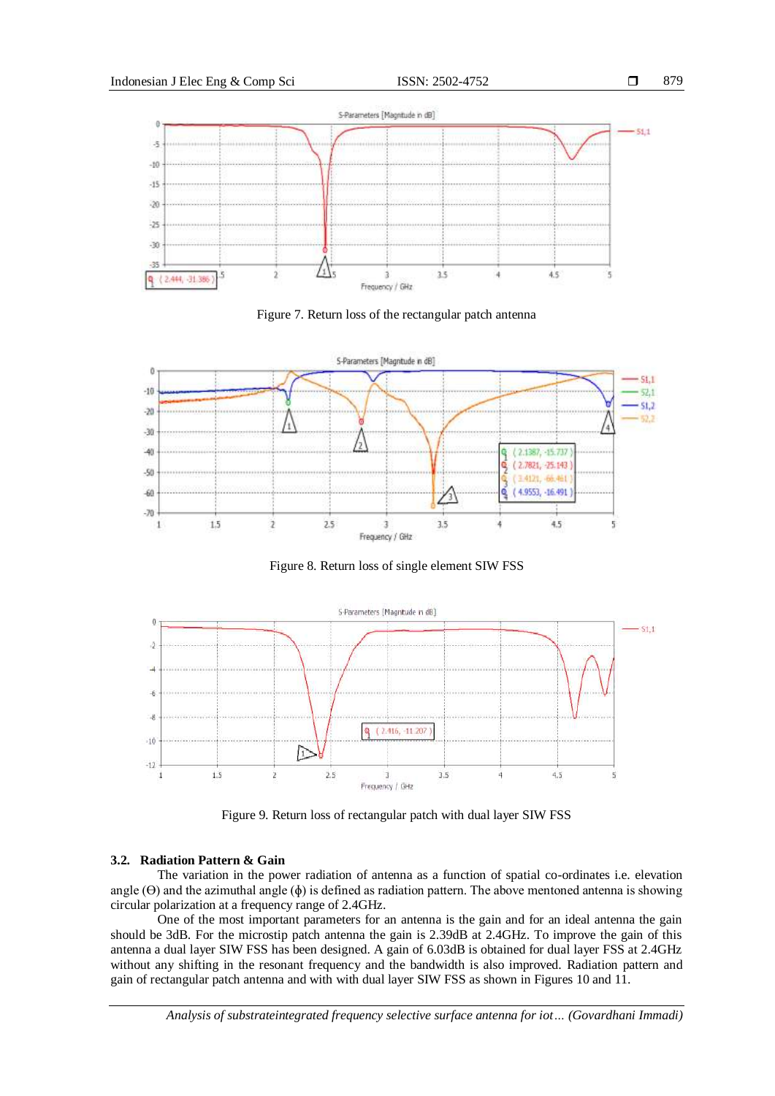





Figure 8. Return loss of single element SIW FSS



Figure 9. Return loss of rectangular patch with dual layer SIW FSS

#### **3.2. Radiation Pattern & Gain**

The variation in the power radiation of antenna as a function of spatial co-ordinates i.e. elevation angle  $(\Theta)$  and the azimuthal angle  $(\phi)$  is defined as radiation pattern. The above mentoned antenna is showing circular polarization at a frequency range of 2.4GHz.

One of the most important parameters for an antenna is the gain and for an ideal antenna the gain should be 3dB. For the microstip patch antenna the gain is 2.39dB at 2.4GHz. To improve the gain of this antenna a dual layer SIW FSS has been designed. A gain of 6.03dB is obtained for dual layer FSS at 2.4GHz without any shifting in the resonant frequency and the bandwidth is also improved. Radiation pattern and gain of rectangular patch antenna and with with dual layer SIW FSS as shown in Figures 10 and 11.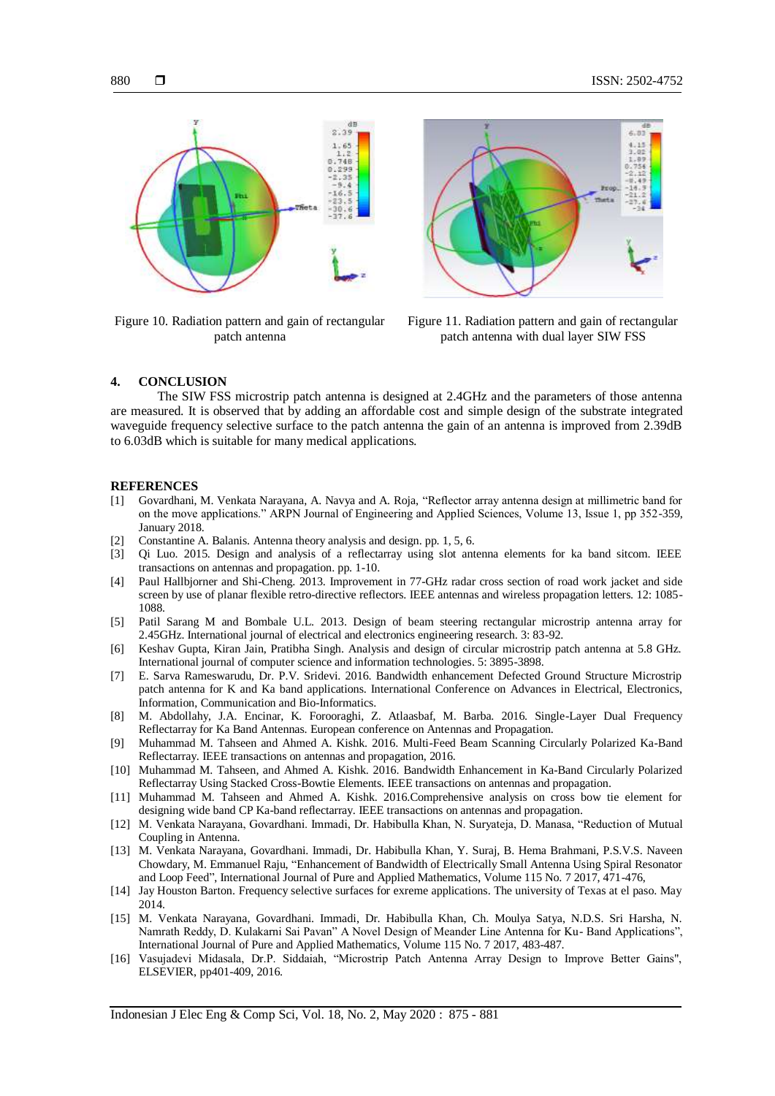

Figure 10. Radiation pattern and gain of rectangular patch antenna



Figure 11. Radiation pattern and gain of rectangular patch antenna with dual layer SIW FSS

#### **4. CONCLUSION**

The SIW FSS microstrip patch antenna is designed at 2.4GHz and the parameters of those antenna are measured. It is observed that by adding an affordable cost and simple design of the substrate integrated waveguide frequency selective surface to the patch antenna the gain of an antenna is improved from 2.39dB to 6.03dB which is suitable for many medical applications.

#### **REFERENCES**

- [1] Govardhani, M. Venkata Narayana, A. Navya and A. Roja, "Reflector array antenna design at millimetric band for on the move applications." ARPN Journal of Engineering and Applied Sciences, Volume 13, Issue 1, pp 352-359, January 2018.
- [2] Constantine A. Balanis. Antenna theory analysis and design. pp. 1, 5, 6.
- [3] Qi Luo. 2015. Design and analysis of a reflectarray using slot antenna elements for ka band sitcom. IEEE transactions on antennas and propagation. pp. 1-10.
- [4] Paul Hallbjorner and Shi-Cheng. 2013. Improvement in 77-GHz radar cross section of road work jacket and side screen by use of planar flexible retro-directive reflectors. IEEE antennas and wireless propagation letters. 12: 1085- 1088.
- [5] Patil Sarang M and Bombale U.L. 2013. Design of beam steering rectangular microstrip antenna array for 2.45GHz. International journal of electrical and electronics engineering research. 3: 83-92.
- [6] Keshav Gupta, Kiran Jain, Pratibha Singh. Analysis and design of circular microstrip patch antenna at 5.8 GHz. International journal of computer science and information technologies. 5: 3895-3898.
- [7] E. Sarva Rameswarudu, Dr. P.V. Sridevi. 2016. Bandwidth enhancement Defected Ground Structure Microstrip patch antenna for K and Ka band applications. International Conference on Advances in Electrical, Electronics, Information, Communication and Bio-Informatics.
- [8] M. Abdollahy, J.A. Encinar, K. Forooraghi, Z. Atlaasbaf, M. Barba. 2016. Single-Layer Dual Frequency Reflectarray for Ka Band Antennas. European conference on Antennas and Propagation.
- [9] Muhammad M. Tahseen and Ahmed A. Kishk. 2016. Multi-Feed Beam Scanning Circularly Polarized Ka-Band Reflectarray. IEEE transactions on antennas and propagation, 2016.
- [10] Muhammad M. Tahseen, and Ahmed A. Kishk. 2016. Bandwidth Enhancement in Ka-Band Circularly Polarized Reflectarray Using Stacked Cross-Bowtie Elements. IEEE transactions on antennas and propagation.
- [11] Muhammad M. Tahseen and Ahmed A. Kishk. 2016.Comprehensive analysis on cross bow tie element for designing wide band CP Ka-band reflectarray. IEEE transactions on antennas and propagation.
- [12] M. Venkata Narayana, Govardhani. Immadi, Dr. Habibulla Khan, N. Suryateja, D. Manasa, "Reduction of Mutual Coupling in Antenna.
- [13] M. Venkata Narayana, Govardhani. Immadi, Dr. Habibulla Khan, Y. Suraj, B. Hema Brahmani, P.S.V.S. Naveen Chowdary, M. Emmanuel Raju, "Enhancement of Bandwidth of Electrically Small Antenna Using Spiral Resonator and Loop Feed", International Journal of Pure and Applied Mathematics, Volume 115 No. 7 2017, 471-476,
- [14] Jay Houston Barton. Frequency selective surfaces for exreme applications. The university of Texas at el paso. May 2014.
- [15] M. Venkata Narayana, Govardhani. Immadi, Dr. Habibulla Khan, Ch. Moulya Satya, N.D.S. Sri Harsha, N. Namrath Reddy, D. Kulakarni Sai Pavan" A Novel Design of Meander Line Antenna for Ku- Band Applications", International Journal of Pure and Applied Mathematics, Volume 115 No. 7 2017, 483-487.
- [16] Vasujadevi Midasala, Dr.P. Siddaiah, "Microstrip Patch Antenna Array Design to Improve Better Gains", ELSEVIER, pp401-409, 2016.